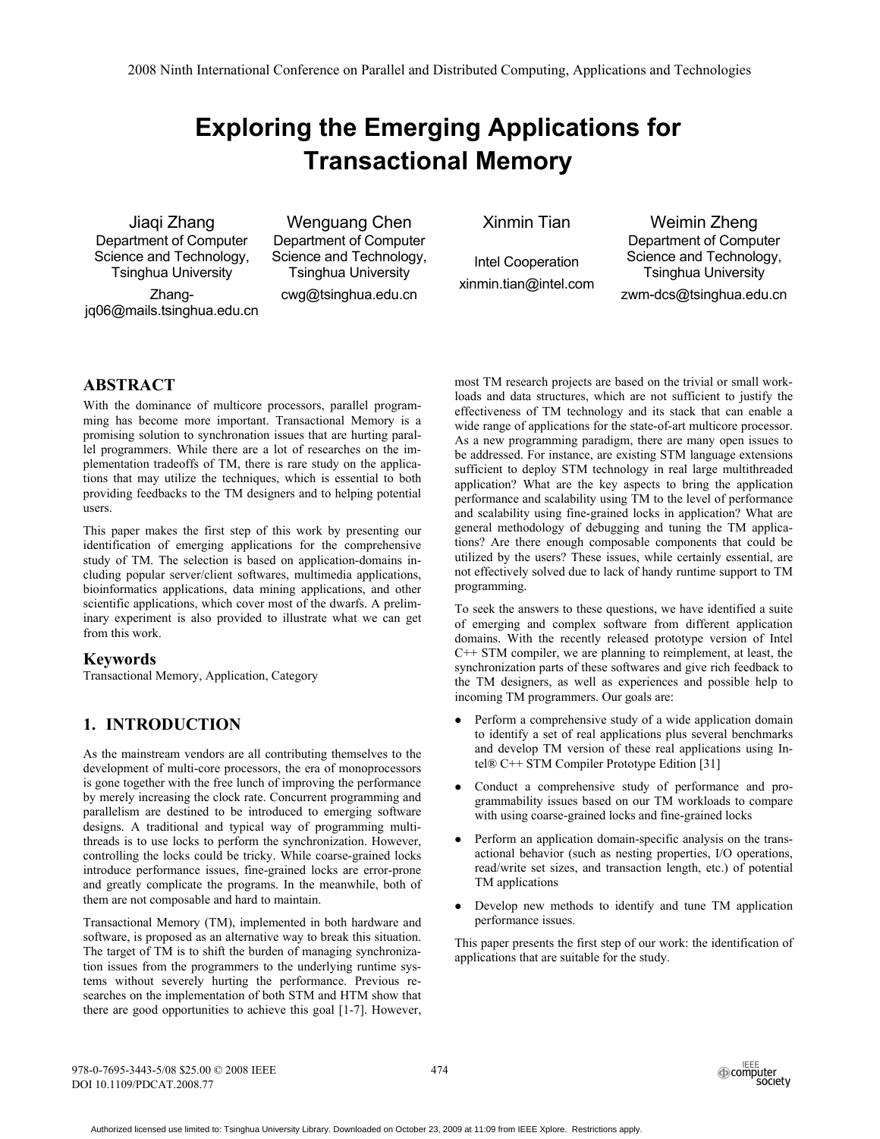# **Exploring the Emerging Applications for Transactional Memory**

Jiaqi Zhang Department of Computer Science and Technology, Tsinghua University Zhangjq06@mails.tsinghua.edu.cn

Wenguang Chen Department of Computer Science and Technology, Tsinghua University cwg@tsinghua.edu.cn

Xinmin Tian

Intel Cooperation xinmin.tian@intel.com

Weimin Zheng Department of Computer Science and Technology, Tsinghua University zwm-dcs@tsinghua.edu.cn

#### **ABSTRACT**

With the dominance of multicore processors, parallel programming has become more important. Transactional Memory is a promising solution to synchronation issues that are hurting parallel programmers. While there are a lot of researches on the implementation tradeoffs of TM, there is rare study on the applications that may utilize the techniques, which is essential to both providing feedbacks to the TM designers and to helping potential users.

This paper makes the first step of this work by presenting our identification of emerging applications for the comprehensive study of TM. The selection is based on application-domains including popular server/client softwares, multimedia applications, bioinformatics applications, data mining applications, and other scientific applications, which cover most of the dwarfs. A preliminary experiment is also provided to illustrate what we can get from this work.

#### **Keywords**

Transactional Memory, Application, Category

### **1. INTRODUCTION**

As the mainstream vendors are all contributing themselves to the development of multi-core processors, the era of monoprocessors is gone together with the free lunch of improving the performance by merely increasing the clock rate. Concurrent programming and parallelism are destined to be introduced to emerging software designs. A traditional and typical way of programming multithreads is to use locks to perform the synchronization. However, controlling the locks could be tricky. While coarse-grained locks introduce performance issues, fine-grained locks are error-prone and greatly complicate the programs. In the meanwhile, both of them are not composable and hard to maintain.

Transactional Memory (TM), implemented in both hardware and software, is proposed as an alternative way to break this situation. The target of TM is to shift the burden of managing synchronization issues from the programmers to the underlying runtime systems without severely hurting the performance. Previous researches on the implementation of both STM and HTM show that there are good opportunities to achieve this goal [1-7]. However, most TM research projects are based on the trivial or small workloads and data structures, which are not sufficient to justify the effectiveness of TM technology and its stack that can enable a wide range of applications for the state-of-art multicore processor. As a new programming paradigm, there are many open issues to be addressed. For instance, are existing STM language extensions sufficient to deploy STM technology in real large multithreaded application? What are the key aspects to bring the application performance and scalability using TM to the level of performance and scalability using fine-grained locks in application? What are general methodology of debugging and tuning the TM applications? Are there enough composable components that could be utilized by the users? These issues, while certainly essential, are not effectively solved due to lack of handy runtime support to TM programming.

To seek the answers to these questions, we have identified a suite of emerging and complex software from different application domains. With the recently released prototype version of Intel C++ STM compiler, we are planning to reimplement, at least, the synchronization parts of these softwares and give rich feedback to the TM designers, as well as experiences and possible help to incoming TM programmers. Our goals are:

- Perform a comprehensive study of a wide application domain to identify a set of real applications plus several benchmarks and develop TM version of these real applications using Intel® C++ STM Compiler Prototype Edition [31]
- Conduct a comprehensive study of performance and programmability issues based on our TM workloads to compare with using coarse-grained locks and fine-grained locks
- Perform an application domain-specific analysis on the transactional behavior (such as nesting properties, I/O operations, read/write set sizes, and transaction length, etc.) of potential TM applications
- Develop new methods to identify and tune TM application performance issues.

This paper presents the first step of our work: the identification of applications that are suitable for the study.

978-0-7695-3443-5/08 \$25.00 © 2008 IEEE DOI 10.1109/PDCAT.2008.77

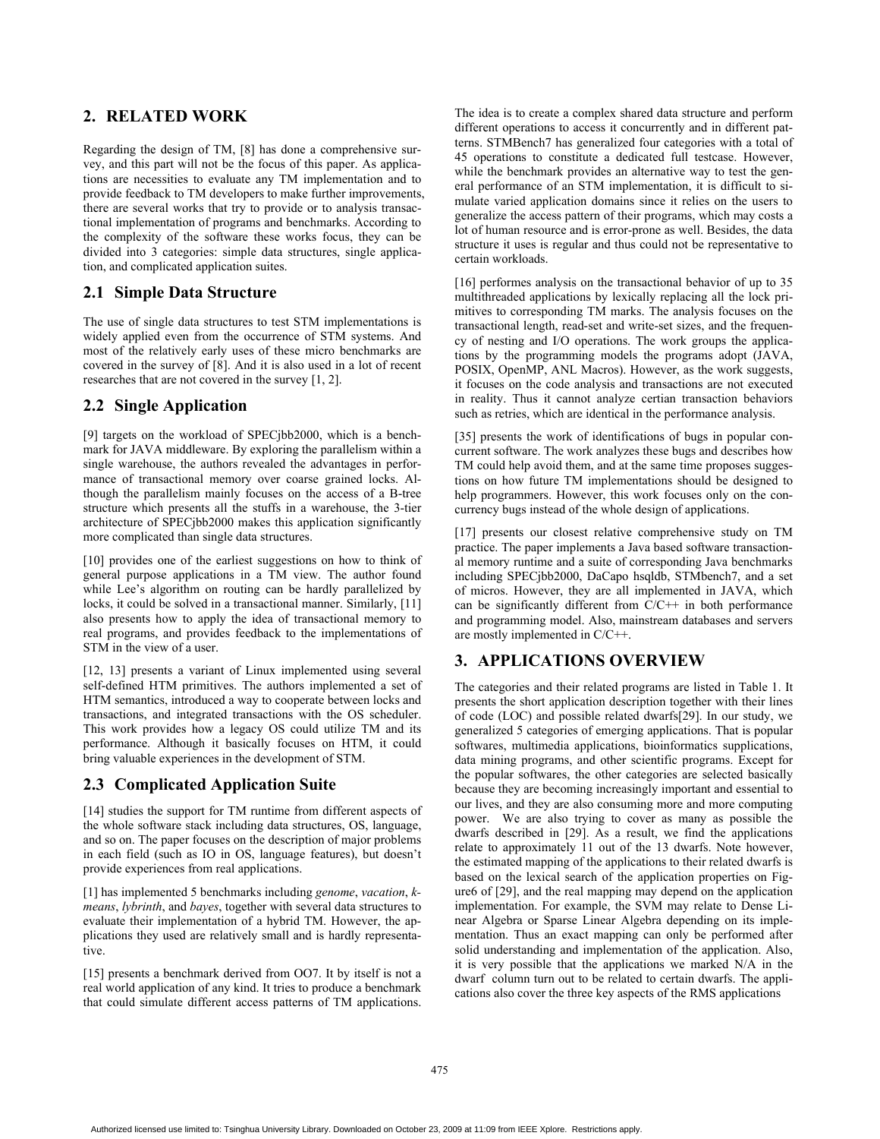# **2. RELATED WORK**

Regarding the design of TM, [8] has done a comprehensive survey, and this part will not be the focus of this paper. As applications are necessities to evaluate any TM implementation and to provide feedback to TM developers to make further improvements, there are several works that try to provide or to analysis transactional implementation of programs and benchmarks. According to the complexity of the software these works focus, they can be divided into 3 categories: simple data structures, single application, and complicated application suites.

## **2.1 Simple Data Structure**

The use of single data structures to test STM implementations is widely applied even from the occurrence of STM systems. And most of the relatively early uses of these micro benchmarks are covered in the survey of [8]. And it is also used in a lot of recent researches that are not covered in the survey [1, 2].

# **2.2 Single Application**

[9] targets on the workload of SPECjbb2000, which is a benchmark for JAVA middleware. By exploring the parallelism within a single warehouse, the authors revealed the advantages in performance of transactional memory over coarse grained locks. Although the parallelism mainly focuses on the access of a B-tree structure which presents all the stuffs in a warehouse, the 3-tier architecture of SPECjbb2000 makes this application significantly more complicated than single data structures.

[10] provides one of the earliest suggestions on how to think of general purpose applications in a TM view. The author found while Lee's algorithm on routing can be hardly parallelized by locks, it could be solved in a transactional manner. Similarly, [11] also presents how to apply the idea of transactional memory to real programs, and provides feedback to the implementations of STM in the view of a user.

[12, 13] presents a variant of Linux implemented using several self-defined HTM primitives. The authors implemented a set of HTM semantics, introduced a way to cooperate between locks and transactions, and integrated transactions with the OS scheduler. This work provides how a legacy OS could utilize TM and its performance. Although it basically focuses on HTM, it could bring valuable experiences in the development of STM.

# **2.3 Complicated Application Suite**

[14] studies the support for TM runtime from different aspects of the whole software stack including data structures, OS, language, and so on. The paper focuses on the description of major problems in each field (such as IO in OS, language features), but doesn't provide experiences from real applications.

[1] has implemented 5 benchmarks including *genome*, *vacation*, *kmeans*, *lybrinth*, and *bayes*, together with several data structures to evaluate their implementation of a hybrid TM. However, the applications they used are relatively small and is hardly representative.

[15] presents a benchmark derived from OO7. It by itself is not a real world application of any kind. It tries to produce a benchmark that could simulate different access patterns of TM applications.

The idea is to create a complex shared data structure and perform different operations to access it concurrently and in different patterns. STMBench7 has generalized four categories with a total of 45 operations to constitute a dedicated full testcase. However, while the benchmark provides an alternative way to test the general performance of an STM implementation, it is difficult to simulate varied application domains since it relies on the users to generalize the access pattern of their programs, which may costs a lot of human resource and is error-prone as well. Besides, the data structure it uses is regular and thus could not be representative to certain workloads.

[16] performes analysis on the transactional behavior of up to 35 multithreaded applications by lexically replacing all the lock primitives to corresponding TM marks. The analysis focuses on the transactional length, read-set and write-set sizes, and the frequency of nesting and I/O operations. The work groups the applications by the programming models the programs adopt (JAVA, POSIX, OpenMP, ANL Macros). However, as the work suggests, it focuses on the code analysis and transactions are not executed in reality. Thus it cannot analyze certian transaction behaviors such as retries, which are identical in the performance analysis.

[35] presents the work of identifications of bugs in popular concurrent software. The work analyzes these bugs and describes how TM could help avoid them, and at the same time proposes suggestions on how future TM implementations should be designed to help programmers. However, this work focuses only on the concurrency bugs instead of the whole design of applications.

[17] presents our closest relative comprehensive study on TM practice. The paper implements a Java based software transactional memory runtime and a suite of corresponding Java benchmarks including SPECjbb2000, DaCapo hsqldb, STMbench7, and a set of micros. However, they are all implemented in JAVA, which can be significantly different from  $C/C++$  in both performance and programming model. Also, mainstream databases and servers are mostly implemented in C/C++.

# **3. APPLICATIONS OVERVIEW**

The categories and their related programs are listed in Table 1. It presents the short application description together with their lines of code (LOC) and possible related dwarfs[29]. In our study, we generalized 5 categories of emerging applications. That is popular softwares, multimedia applications, bioinformatics supplications, data mining programs, and other scientific programs. Except for the popular softwares, the other categories are selected basically because they are becoming increasingly important and essential to our lives, and they are also consuming more and more computing power. We are also trying to cover as many as possible the dwarfs described in [29]. As a result, we find the applications relate to approximately 11 out of the 13 dwarfs. Note however, the estimated mapping of the applications to their related dwarfs is based on the lexical search of the application properties on Figure6 of [29], and the real mapping may depend on the application implementation. For example, the SVM may relate to Dense Linear Algebra or Sparse Linear Algebra depending on its implementation. Thus an exact mapping can only be performed after solid understanding and implementation of the application. Also, it is very possible that the applications we marked N/A in the dwarf column turn out to be related to certain dwarfs. The applications also cover the three key aspects of the RMS applications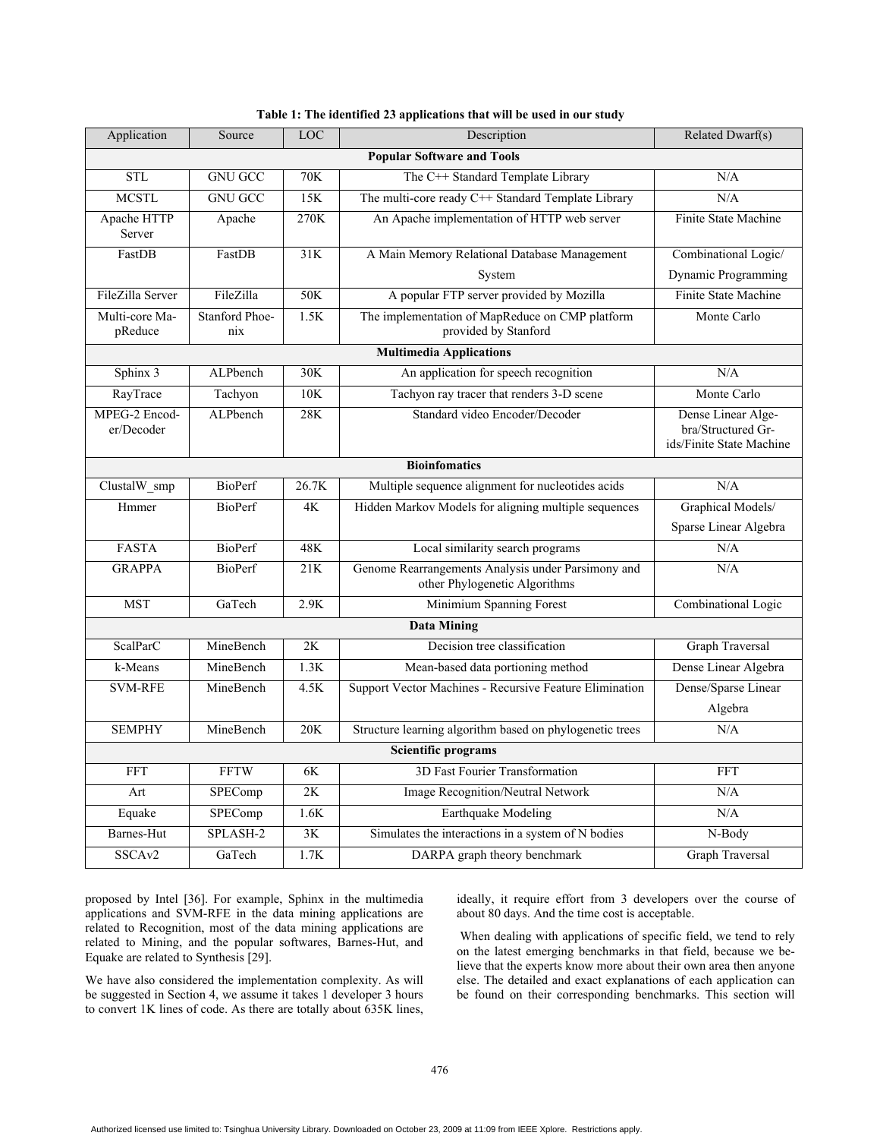| Application                       | Source                                | LOC   | Description                                                                         | Related Dwarf(s)                                                     |  |  |  |
|-----------------------------------|---------------------------------------|-------|-------------------------------------------------------------------------------------|----------------------------------------------------------------------|--|--|--|
| <b>Popular Software and Tools</b> |                                       |       |                                                                                     |                                                                      |  |  |  |
| <b>STL</b>                        | <b>GNU GCC</b>                        | 70K   | The C++ Standard Template Library                                                   | N/A                                                                  |  |  |  |
| <b>MCSTL</b>                      | <b>GNU GCC</b>                        | 15K   | The multi-core ready C++ Standard Template Library                                  | N/A                                                                  |  |  |  |
| Apache HTTP<br>Server             | Apache                                | 270K  | An Apache implementation of HTTP web server                                         | Finite State Machine                                                 |  |  |  |
| FastDB                            | FastDB                                | 31K   | A Main Memory Relational Database Management                                        | Combinational Logic/                                                 |  |  |  |
|                                   |                                       |       | System                                                                              | Dynamic Programming                                                  |  |  |  |
| FileZilla Server                  | FileZilla                             | 50K   | A popular FTP server provided by Mozilla                                            | Finite State Machine                                                 |  |  |  |
| Multi-core Ma-<br>pReduce         | <b>Stanford Phoe-</b><br>$_{\rm nix}$ | 1.5K  | The implementation of MapReduce on CMP platform<br>provided by Stanford             | Monte Carlo                                                          |  |  |  |
|                                   |                                       |       | <b>Multimedia Applications</b>                                                      |                                                                      |  |  |  |
| Sphinx 3                          | ALPbench                              | 30K   | An application for speech recognition                                               | N/A                                                                  |  |  |  |
| RayTrace                          | Tachyon                               | 10K   | Tachyon ray tracer that renders 3-D scene                                           | Monte Carlo                                                          |  |  |  |
| MPEG-2 Encod-<br>er/Decoder       | ALPbench                              | 28K   | Standard video Encoder/Decoder                                                      | Dense Linear Alge-<br>bra/Structured Gr-<br>ids/Finite State Machine |  |  |  |
|                                   | <b>Bioinfomatics</b>                  |       |                                                                                     |                                                                      |  |  |  |
| ClustalW smp                      | <b>BioPerf</b>                        | 26.7K | Multiple sequence alignment for nucleotides acids                                   | N/A                                                                  |  |  |  |
| Hmmer                             | <b>BioPerf</b>                        | 4K    | Hidden Markov Models for aligning multiple sequences                                | Graphical Models/                                                    |  |  |  |
|                                   |                                       |       |                                                                                     | Sparse Linear Algebra                                                |  |  |  |
| <b>FASTA</b>                      | <b>BioPerf</b>                        | 48K   | Local similarity search programs                                                    | N/A                                                                  |  |  |  |
| <b>GRAPPA</b>                     | <b>BioPerf</b>                        | 21K   | Genome Rearrangements Analysis under Parsimony and<br>other Phylogenetic Algorithms | N/A                                                                  |  |  |  |
| <b>MST</b>                        | GaTech                                | 2.9K  | Minimium Spanning Forest                                                            | Combinational Logic                                                  |  |  |  |
|                                   |                                       |       | <b>Data Mining</b>                                                                  |                                                                      |  |  |  |
| ScalParC                          | MineBench                             | 2K    | Decision tree classification                                                        | Graph Traversal                                                      |  |  |  |
| k-Means                           | MineBench                             | 1.3K  | Mean-based data portioning method                                                   | Dense Linear Algebra                                                 |  |  |  |
| <b>SVM-RFE</b>                    | MineBench                             | 4.5K  | Support Vector Machines - Recursive Feature Elimination                             | Dense/Sparse Linear                                                  |  |  |  |
|                                   |                                       |       |                                                                                     | Algebra                                                              |  |  |  |
| <b>SEMPHY</b>                     | MineBench                             | 20K   | Structure learning algorithm based on phylogenetic trees                            | N/A                                                                  |  |  |  |
|                                   | <b>Scientific programs</b>            |       |                                                                                     |                                                                      |  |  |  |
| <b>FFT</b>                        | <b>FFTW</b>                           | 6K    | 3D Fast Fourier Transformation                                                      | <b>FFT</b>                                                           |  |  |  |
| Art                               | SPEComp                               | 2K    | Image Recognition/Neutral Network                                                   | N/A                                                                  |  |  |  |
| Equake                            | SPEComp                               | 1.6K  | Earthquake Modeling                                                                 | N/A                                                                  |  |  |  |
| Barnes-Hut                        | SPLASH-2                              | 3K    | Simulates the interactions in a system of N bodies                                  | N-Body                                                               |  |  |  |
| SSCAv2                            | GaTech                                | 1.7K  | DARPA graph theory benchmark                                                        | Graph Traversal                                                      |  |  |  |

**Table 1: The identified 23 applications that will be used in our study** 

proposed by Intel [36]. For example, Sphinx in the multimedia applications and SVM-RFE in the data mining applications are related to Recognition, most of the data mining applications are related to Mining, and the popular softwares, Barnes-Hut, and Equake are related to Synthesis [29].

We have also considered the implementation complexity. As will be suggested in Section 4, we assume it takes 1 developer 3 hours to convert 1K lines of code. As there are totally about 635K lines, ideally, it require effort from 3 developers over the course of about 80 days. And the time cost is acceptable.

 When dealing with applications of specific field, we tend to rely on the latest emerging benchmarks in that field, because we believe that the experts know more about their own area then anyone else. The detailed and exact explanations of each application can be found on their corresponding benchmarks. This section will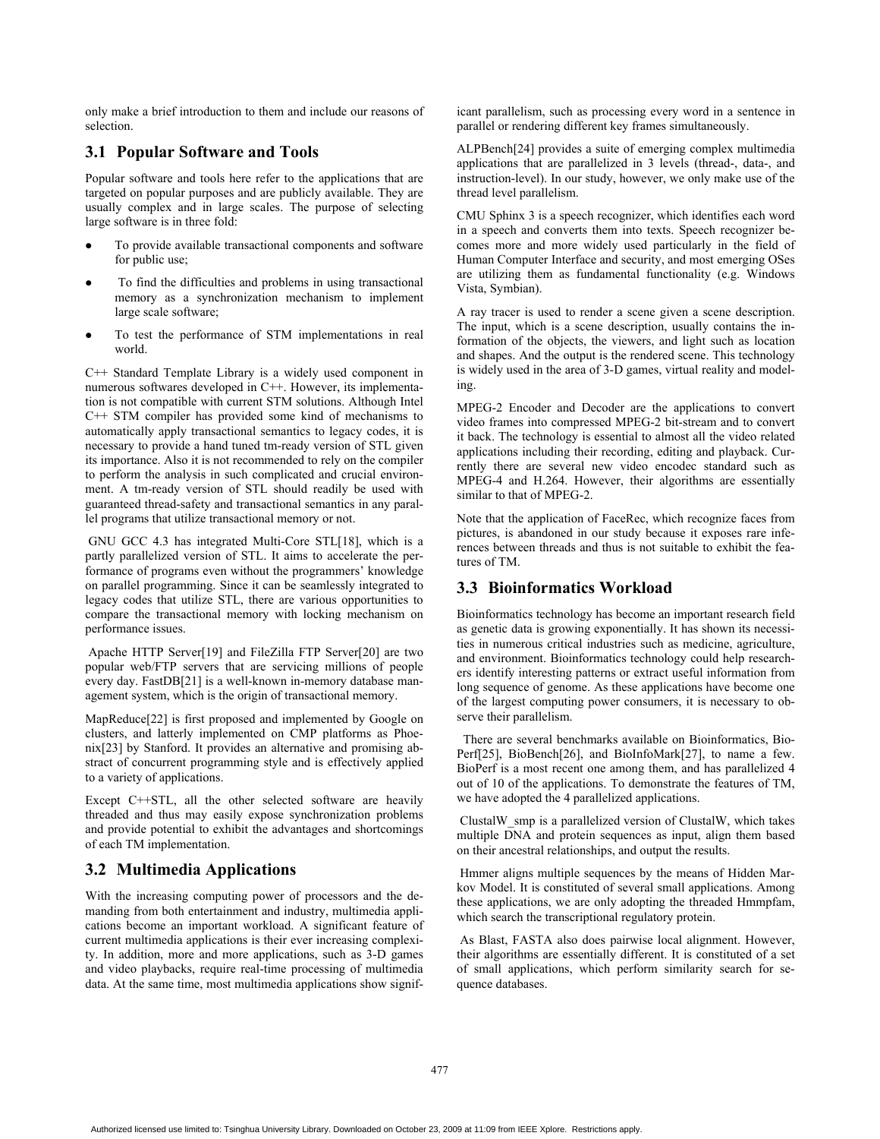only make a brief introduction to them and include our reasons of selection.

#### **3.1 Popular Software and Tools**

Popular software and tools here refer to the applications that are targeted on popular purposes and are publicly available. They are usually complex and in large scales. The purpose of selecting large software is in three fold:

- To provide available transactional components and software for public use;
- To find the difficulties and problems in using transactional memory as a synchronization mechanism to implement large scale software;
- To test the performance of STM implementations in real world.

C++ Standard Template Library is a widely used component in numerous softwares developed in C++. However, its implementation is not compatible with current STM solutions. Although Intel C++ STM compiler has provided some kind of mechanisms to automatically apply transactional semantics to legacy codes, it is necessary to provide a hand tuned tm-ready version of STL given its importance. Also it is not recommended to rely on the compiler to perform the analysis in such complicated and crucial environment. A tm-ready version of STL should readily be used with guaranteed thread-safety and transactional semantics in any parallel programs that utilize transactional memory or not.

 GNU GCC 4.3 has integrated Multi-Core STL[18], which is a partly parallelized version of STL. It aims to accelerate the performance of programs even without the programmers' knowledge on parallel programming. Since it can be seamlessly integrated to legacy codes that utilize STL, there are various opportunities to compare the transactional memory with locking mechanism on performance issues.

 Apache HTTP Server[19] and FileZilla FTP Server[20] are two popular web/FTP servers that are servicing millions of people every day. FastDB[21] is a well-known in-memory database management system, which is the origin of transactional memory.

MapReduce[22] is first proposed and implemented by Google on clusters, and latterly implemented on CMP platforms as Phoenix[23] by Stanford. It provides an alternative and promising abstract of concurrent programming style and is effectively applied to a variety of applications.

Except C++STL, all the other selected software are heavily threaded and thus may easily expose synchronization problems and provide potential to exhibit the advantages and shortcomings of each TM implementation.

#### **3.2 Multimedia Applications**

With the increasing computing power of processors and the demanding from both entertainment and industry, multimedia applications become an important workload. A significant feature of current multimedia applications is their ever increasing complexity. In addition, more and more applications, such as 3-D games and video playbacks, require real-time processing of multimedia data. At the same time, most multimedia applications show significant parallelism, such as processing every word in a sentence in parallel or rendering different key frames simultaneously.

ALPBench[24] provides a suite of emerging complex multimedia applications that are parallelized in 3 levels (thread-, data-, and instruction-level). In our study, however, we only make use of the thread level parallelism.

CMU Sphinx 3 is a speech recognizer, which identifies each word in a speech and converts them into texts. Speech recognizer becomes more and more widely used particularly in the field of Human Computer Interface and security, and most emerging OSes are utilizing them as fundamental functionality (e.g. Windows Vista, Symbian).

A ray tracer is used to render a scene given a scene description. The input, which is a scene description, usually contains the information of the objects, the viewers, and light such as location and shapes. And the output is the rendered scene. This technology is widely used in the area of 3-D games, virtual reality and modeling.

MPEG-2 Encoder and Decoder are the applications to convert video frames into compressed MPEG-2 bit-stream and to convert it back. The technology is essential to almost all the video related applications including their recording, editing and playback. Currently there are several new video encodec standard such as MPEG-4 and H.264. However, their algorithms are essentially similar to that of MPEG-2.

Note that the application of FaceRec, which recognize faces from pictures, is abandoned in our study because it exposes rare inferences between threads and thus is not suitable to exhibit the features of TM.

### **3.3 Bioinformatics Workload**

Bioinformatics technology has become an important research field as genetic data is growing exponentially. It has shown its necessities in numerous critical industries such as medicine, agriculture, and environment. Bioinformatics technology could help researchers identify interesting patterns or extract useful information from long sequence of genome. As these applications have become one of the largest computing power consumers, it is necessary to observe their parallelism.

 There are several benchmarks available on Bioinformatics, Bio-Perf[25], BioBench[26], and BioInfoMark[27], to name a few. BioPerf is a most recent one among them, and has parallelized 4 out of 10 of the applications. To demonstrate the features of TM, we have adopted the 4 parallelized applications.

 ClustalW\_smp is a parallelized version of ClustalW, which takes multiple DNA and protein sequences as input, align them based on their ancestral relationships, and output the results.

 Hmmer aligns multiple sequences by the means of Hidden Markov Model. It is constituted of several small applications. Among these applications, we are only adopting the threaded Hmmpfam, which search the transcriptional regulatory protein.

 As Blast, FASTA also does pairwise local alignment. However, their algorithms are essentially different. It is constituted of a set of small applications, which perform similarity search for sequence databases.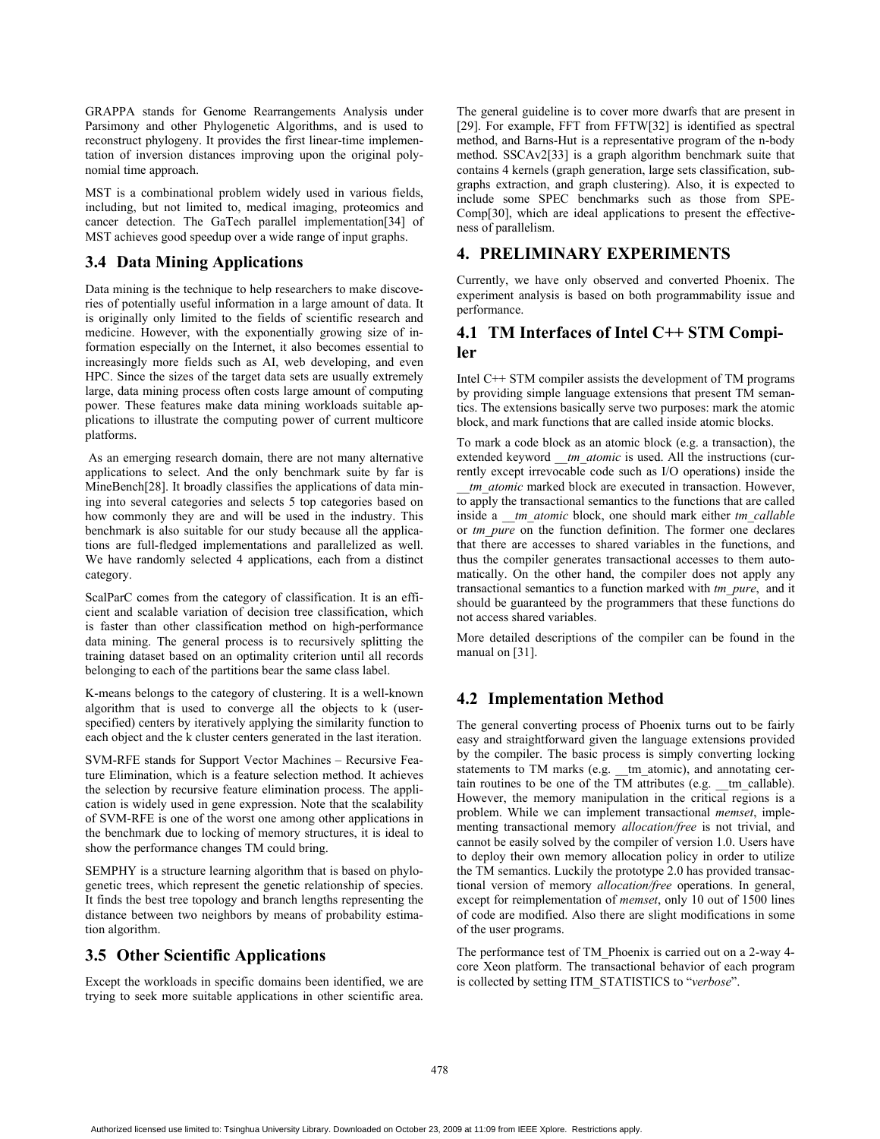GRAPPA stands for Genome Rearrangements Analysis under Parsimony and other Phylogenetic Algorithms, and is used to reconstruct phylogeny. It provides the first linear-time implementation of inversion distances improving upon the original polynomial time approach.

MST is a combinational problem widely used in various fields, including, but not limited to, medical imaging, proteomics and cancer detection. The GaTech parallel implementation[34] of MST achieves good speedup over a wide range of input graphs.

#### **3.4 Data Mining Applications**

Data mining is the technique to help researchers to make discoveries of potentially useful information in a large amount of data. It is originally only limited to the fields of scientific research and medicine. However, with the exponentially growing size of information especially on the Internet, it also becomes essential to increasingly more fields such as AI, web developing, and even HPC. Since the sizes of the target data sets are usually extremely large, data mining process often costs large amount of computing power. These features make data mining workloads suitable applications to illustrate the computing power of current multicore platforms.

 As an emerging research domain, there are not many alternative applications to select. And the only benchmark suite by far is MineBench[28]. It broadly classifies the applications of data mining into several categories and selects 5 top categories based on how commonly they are and will be used in the industry. This benchmark is also suitable for our study because all the applications are full-fledged implementations and parallelized as well. We have randomly selected 4 applications, each from a distinct category.

ScalParC comes from the category of classification. It is an efficient and scalable variation of decision tree classification, which is faster than other classification method on high-performance data mining. The general process is to recursively splitting the training dataset based on an optimality criterion until all records belonging to each of the partitions bear the same class label.

K-means belongs to the category of clustering. It is a well-known algorithm that is used to converge all the objects to k (userspecified) centers by iteratively applying the similarity function to each object and the k cluster centers generated in the last iteration.

SVM-RFE stands for Support Vector Machines – Recursive Feature Elimination, which is a feature selection method. It achieves the selection by recursive feature elimination process. The application is widely used in gene expression. Note that the scalability of SVM-RFE is one of the worst one among other applications in the benchmark due to locking of memory structures, it is ideal to show the performance changes TM could bring.

SEMPHY is a structure learning algorithm that is based on phylogenetic trees, which represent the genetic relationship of species. It finds the best tree topology and branch lengths representing the distance between two neighbors by means of probability estimation algorithm.

### **3.5 Other Scientific Applications**

Except the workloads in specific domains been identified, we are trying to seek more suitable applications in other scientific area.

The general guideline is to cover more dwarfs that are present in [29]. For example, FFT from FFTW[32] is identified as spectral method, and Barns-Hut is a representative program of the n-body method. SSCAv2[33] is a graph algorithm benchmark suite that contains 4 kernels (graph generation, large sets classification, subgraphs extraction, and graph clustering). Also, it is expected to include some SPEC benchmarks such as those from SPE-Comp[30], which are ideal applications to present the effectiveness of parallelism.

## **4. PRELIMINARY EXPERIMENTS**

Currently, we have only observed and converted Phoenix. The experiment analysis is based on both programmability issue and performance.

#### **4.1 TM Interfaces of Intel C++ STM Compiler**

Intel C++ STM compiler assists the development of TM programs by providing simple language extensions that present TM semantics. The extensions basically serve two purposes: mark the atomic block, and mark functions that are called inside atomic blocks.

To mark a code block as an atomic block (e.g. a transaction), the extended keyword *tm\_atomic* is used. All the instructions (currently except irrevocable code such as I/O operations) inside the *tm\_atomic* marked block are executed in transaction. However, to apply the transactional semantics to the functions that are called inside a *tm\_atomic* block, one should mark either *tm\_callable* or *tm\_pure* on the function definition. The former one declares that there are accesses to shared variables in the functions, and thus the compiler generates transactional accesses to them automatically. On the other hand, the compiler does not apply any transactional semantics to a function marked with *tm\_pure*, and it should be guaranteed by the programmers that these functions do not access shared variables.

More detailed descriptions of the compiler can be found in the manual on [31].

#### **4.2 Implementation Method**

The general converting process of Phoenix turns out to be fairly easy and straightforward given the language extensions provided by the compiler. The basic process is simply converting locking statements to TM marks (e.g. \_tm\_atomic), and annotating certain routines to be one of the TM attributes (e.g. \_\_tm\_callable). However, the memory manipulation in the critical regions is a problem. While we can implement transactional *memset*, implementing transactional memory *allocation/free* is not trivial, and cannot be easily solved by the compiler of version 1.0. Users have to deploy their own memory allocation policy in order to utilize the TM semantics. Luckily the prototype 2.0 has provided transactional version of memory *allocation/free* operations. In general, except for reimplementation of *memset*, only 10 out of 1500 lines of code are modified. Also there are slight modifications in some of the user programs.

The performance test of TM\_Phoenix is carried out on a 2-way 4 core Xeon platform. The transactional behavior of each program is collected by setting ITM\_STATISTICS to "*verbose*".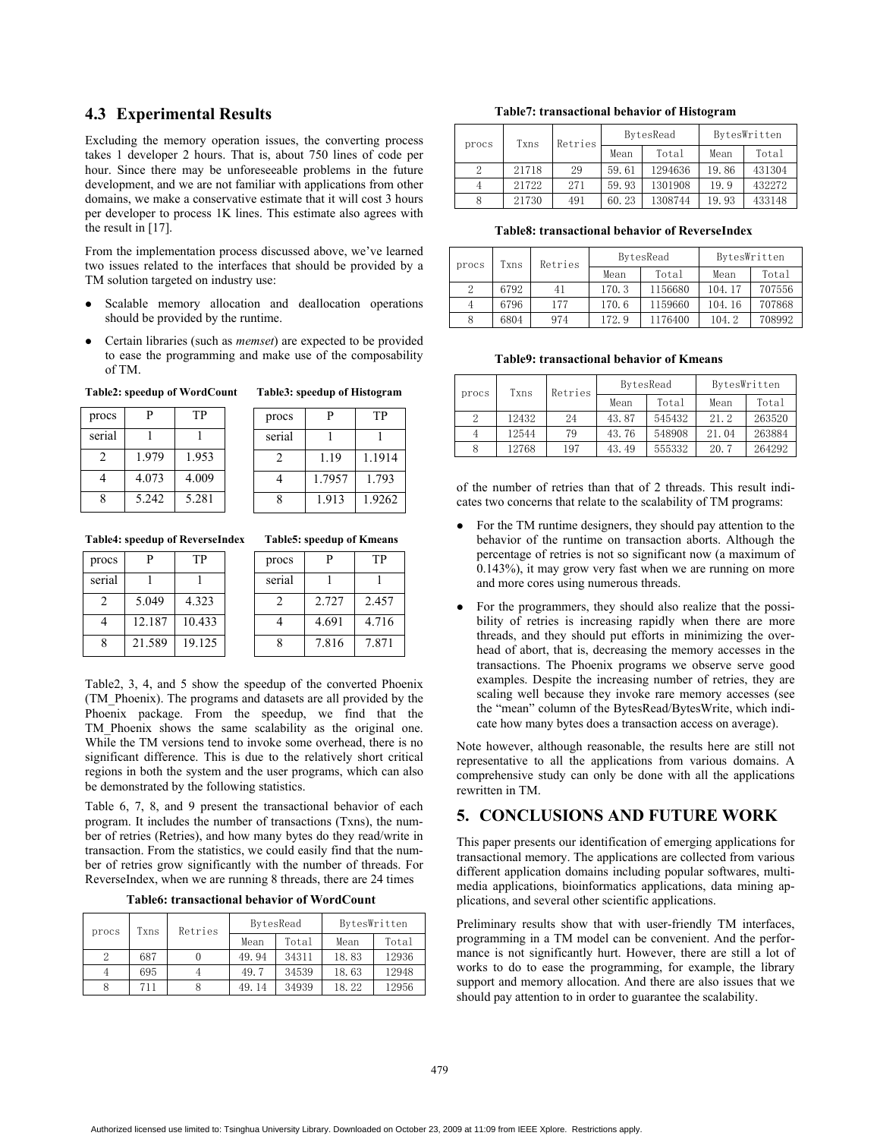### **4.3 Experimental Results**

Excluding the memory operation issues, the converting process takes 1 developer 2 hours. That is, about 750 lines of code per hour. Since there may be unforeseeable problems in the future development, and we are not familiar with applications from other domains, we make a conservative estimate that it will cost 3 hours per developer to process 1K lines. This estimate also agrees with the result in [17].

From the implementation process discussed above, we've learned two issues related to the interfaces that should be provided by a TM solution targeted on industry use:

- Scalable memory allocation and deallocation operations should be provided by the runtime.
- z Certain libraries (such as *memset*) are expected to be provided to ease the programming and make use of the composability of TM.

**Table2: speedup of WordCount Table3: speedup of Histogram**

| procs  | P     | TР    |
|--------|-------|-------|
| serial |       |       |
| 2      | 1.979 | 1.953 |
|        | 4.073 | 4.009 |
|        | 5.242 | 5.281 |

| procs         | P      | TР     |
|---------------|--------|--------|
| serial        |        |        |
| $\mathcal{P}$ | 1.19   | 1.1914 |
|               | 1.7957 | 1.793  |
| 8             | 1.913  | 1.9262 |

**Table4: speedup of ReverseIndex Table5: speedup of Kmeans** 

|  | Table5: speedup of Kmea |  |  |
|--|-------------------------|--|--|
|--|-------------------------|--|--|

| procs  |        | TP     | procs  |       | TP    |
|--------|--------|--------|--------|-------|-------|
| serial |        |        | serial |       |       |
| 2      | 5.049  | 4.323  |        | 2.727 | 2.457 |
|        | 12.187 | 10.433 |        | 4.691 | 4.716 |
|        | 21.589 | 19.125 |        | 7.816 | 7.871 |

Table2, 3, 4, and 5 show the speedup of the converted Phoenix (TM\_Phoenix). The programs and datasets are all provided by the Phoenix package. From the speedup, we find that the TM Phoenix shows the same scalability as the original one. While the TM versions tend to invoke some overhead, there is no significant difference. This is due to the relatively short critical regions in both the system and the user programs, which can also be demonstrated by the following statistics.

Table 6, 7, 8, and 9 present the transactional behavior of each program. It includes the number of transactions (Txns), the number of retries (Retries), and how many bytes do they read/write in transaction. From the statistics, we could easily find that the number of retries grow significantly with the number of threads. For ReverseIndex, when we are running 8 threads, there are 24 times

| Txns<br>procs |     | Retries | BytesRead |       | BytesWritten |       |
|---------------|-----|---------|-----------|-------|--------------|-------|
|               |     | Mean    | Total     | Mean  | Total        |       |
|               | 687 |         | 49.94     | 34311 | 18.83        | 12936 |
|               | 695 |         | 49.7      | 34539 | 18.63        | 12948 |
|               | 711 |         | 49.14     | 34939 | 18.22        | 12956 |

**Table7: transactional behavior of Histogram**

| procs | Txns  | Retries |       | BytesRead |       | BytesWritten |  |
|-------|-------|---------|-------|-----------|-------|--------------|--|
|       |       |         | Mean  | Total     | Mean  | Total        |  |
|       | 21718 | 29      | 59.61 | 1294636   | 19.86 | 431304       |  |
|       | 21722 | 271     | 59.93 | 1301908   | 19.9  | 432272       |  |
|       | 21730 | 491     | 60.23 | 1308744   | 19.93 | 433148       |  |

**Table8: transactional behavior of ReverseIndex** 

| Txns<br>procs |      | Retries | BytesRead |         | BytesWritten |        |
|---------------|------|---------|-----------|---------|--------------|--------|
|               |      | Mean    | Total     | Mean    | Total        |        |
|               | 6792 |         | 170.3     | 1156680 | 104.17       | 707556 |
|               | 6796 | 177     | 170.6     | 1159660 | 104.16       | 707868 |
|               | 6804 | 974     | 172.9     | 1176400 | 104.2        | 708992 |

**Table9: transactional behavior of Kmeans** 

| Txns<br>procs |       | Retries | BytesRead |        | BytesWritten |        |
|---------------|-------|---------|-----------|--------|--------------|--------|
|               |       | Mean    | Total     | Mean   | Total        |        |
|               | 12432 | 24      | 43.87     | 545432 | 21.2         | 263520 |
|               | 12544 | 79      | 43.76     | 548908 | 21.04        | 263884 |
|               | 12768 | 197     | 43.49     | 555332 | 20.7         | 264292 |

of the number of retries than that of 2 threads. This result indicates two concerns that relate to the scalability of TM programs:

- For the TM runtime designers, they should pay attention to the behavior of the runtime on transaction aborts. Although the percentage of retries is not so significant now (a maximum of 0.143%), it may grow very fast when we are running on more and more cores using numerous threads.
- For the programmers, they should also realize that the possibility of retries is increasing rapidly when there are more threads, and they should put efforts in minimizing the overhead of abort, that is, decreasing the memory accesses in the transactions. The Phoenix programs we observe serve good examples. Despite the increasing number of retries, they are scaling well because they invoke rare memory accesses (see the "mean" column of the BytesRead/BytesWrite, which indicate how many bytes does a transaction access on average).

Note however, although reasonable, the results here are still not representative to all the applications from various domains. A comprehensive study can only be done with all the applications rewritten in TM.

#### **5. CONCLUSIONS AND FUTURE WORK**

This paper presents our identification of emerging applications for transactional memory. The applications are collected from various different application domains including popular softwares, multimedia applications, bioinformatics applications, data mining applications, and several other scientific applications.

Preliminary results show that with user-friendly TM interfaces, programming in a TM model can be convenient. And the performance is not significantly hurt. However, there are still a lot of works to do to ease the programming, for example, the library support and memory allocation. And there are also issues that we should pay attention to in order to guarantee the scalability.